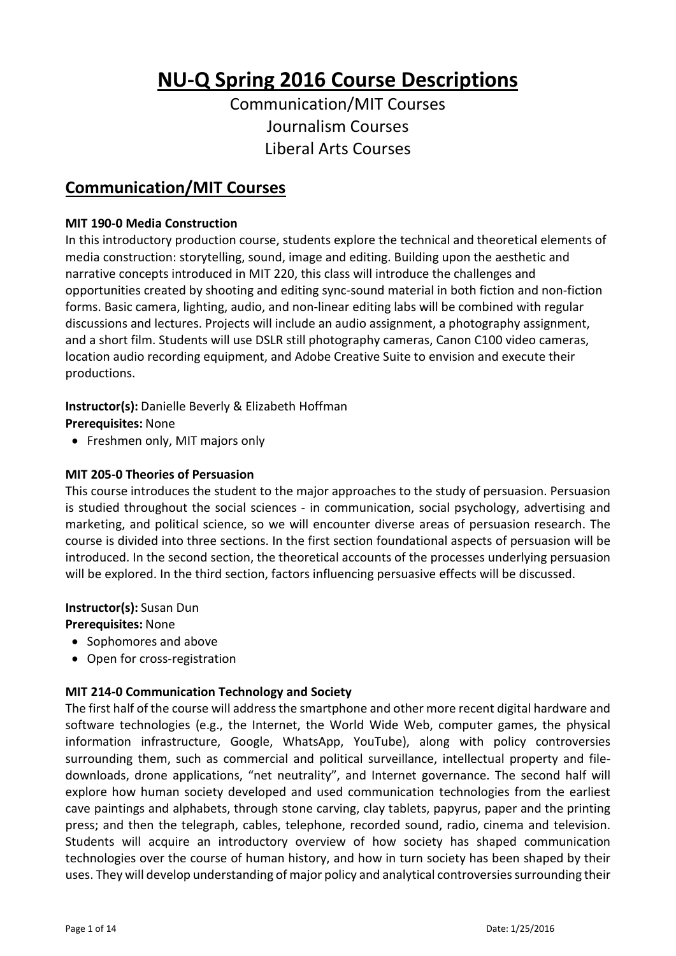# **NU-Q Spring 2016 Course Descriptions**

Communication/MIT Courses Journalism Courses Liberal Arts Courses

# **Communication/MIT Courses**

#### **MIT 190-0 Media Construction**

In this introductory production course, students explore the technical and theoretical elements of media construction: storytelling, sound, image and editing. Building upon the aesthetic and narrative concepts introduced in MIT 220, this class will introduce the challenges and opportunities created by shooting and editing sync-sound material in both fiction and non-fiction forms. Basic camera, lighting, audio, and non-linear editing labs will be combined with regular discussions and lectures. Projects will include an audio assignment, a photography assignment, and a short film. Students will use DSLR still photography cameras, Canon C100 video cameras, location audio recording equipment, and Adobe Creative Suite to envision and execute their productions.

#### **Instructor(s):** Danielle Beverly & Elizabeth Hoffman

**Prerequisites:** None

• Freshmen only, MIT majors only

#### **MIT 205-0 Theories of Persuasion**

This course introduces the student to the major approaches to the study of persuasion. Persuasion is studied throughout the social sciences - in communication, social psychology, advertising and marketing, and political science, so we will encounter diverse areas of persuasion research. The course is divided into three sections. In the first section foundational aspects of persuasion will be introduced. In the second section, the theoretical accounts of the processes underlying persuasion will be explored. In the third section, factors influencing persuasive effects will be discussed.

**Instructor(s):** Susan Dun

**Prerequisites:** None

- Sophomores and above
- Open for cross-registration

#### **MIT 214-0 Communication Technology and Society**

The first half of the course will address the smartphone and other more recent digital hardware and software technologies (e.g., the Internet, the World Wide Web, computer games, the physical information infrastructure, Google, WhatsApp, YouTube), along with policy controversies surrounding them, such as commercial and political surveillance, intellectual property and filedownloads, drone applications, "net neutrality", and Internet governance. The second half will explore how human society developed and used communication technologies from the earliest cave paintings and alphabets, through stone carving, clay tablets, papyrus, paper and the printing press; and then the telegraph, cables, telephone, recorded sound, radio, cinema and television. Students will acquire an introductory overview of how society has shaped communication technologies over the course of human history, and how in turn society has been shaped by their uses. They will develop understanding of major policy and analytical controversies surrounding their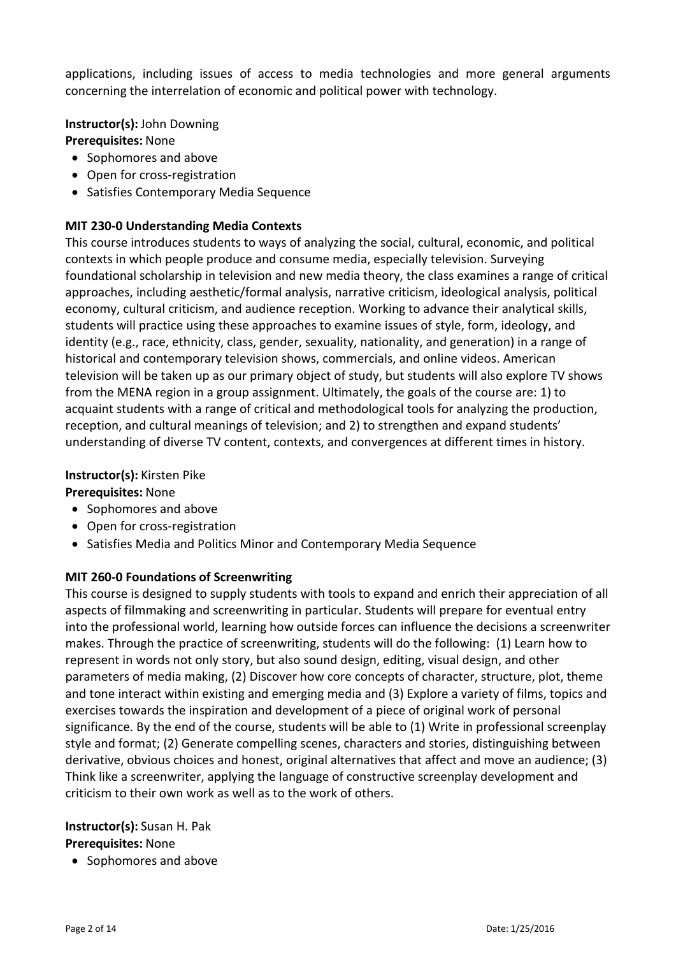applications, including issues of access to media technologies and more general arguments concerning the interrelation of economic and political power with technology.

**Instructor(s):** John Downing **Prerequisites:** None

- Sophomores and above
- Open for cross-registration
- Satisfies Contemporary Media Sequence

## **MIT 230-0 Understanding Media Contexts**

This course introduces students to ways of analyzing the social, cultural, economic, and political contexts in which people produce and consume media, especially television. Surveying foundational scholarship in television and new media theory, the class examines a range of critical approaches, including aesthetic/formal analysis, narrative criticism, ideological analysis, political economy, cultural criticism, and audience reception. Working to advance their analytical skills, students will practice using these approaches to examine issues of style, form, ideology, and identity (e.g., race, ethnicity, class, gender, sexuality, nationality, and generation) in a range of historical and contemporary television shows, commercials, and online videos. American television will be taken up as our primary object of study, but students will also explore TV shows from the MENA region in a group assignment. Ultimately, the goals of the course are: 1) to acquaint students with a range of critical and methodological tools for analyzing the production, reception, and cultural meanings of television; and 2) to strengthen and expand students' understanding of diverse TV content, contexts, and convergences at different times in history.

#### **Instructor(s):** Kirsten Pike

## **Prerequisites:** None

- Sophomores and above
- Open for cross-registration
- Satisfies Media and Politics Minor and Contemporary Media Sequence

## **MIT 260-0 Foundations of Screenwriting**

This course is designed to supply students with tools to expand and enrich their appreciation of all aspects of filmmaking and screenwriting in particular. Students will prepare for eventual entry into the professional world, learning how outside forces can influence the decisions a screenwriter makes. Through the practice of screenwriting, students will do the following: (1) Learn how to represent in words not only story, but also sound design, editing, visual design, and other parameters of media making, (2) Discover how core concepts of character, structure, plot, theme and tone interact within existing and emerging media and (3) Explore a variety of films, topics and exercises towards the inspiration and development of a piece of original work of personal significance. By the end of the course, students will be able to (1) Write in professional screenplay style and format; (2) Generate compelling scenes, characters and stories, distinguishing between derivative, obvious choices and honest, original alternatives that affect and move an audience; (3) Think like a screenwriter, applying the language of constructive screenplay development and criticism to their own work as well as to the work of others.

#### **Instructor(s):** Susan H. Pak **Prerequisites:** None

• Sophomores and above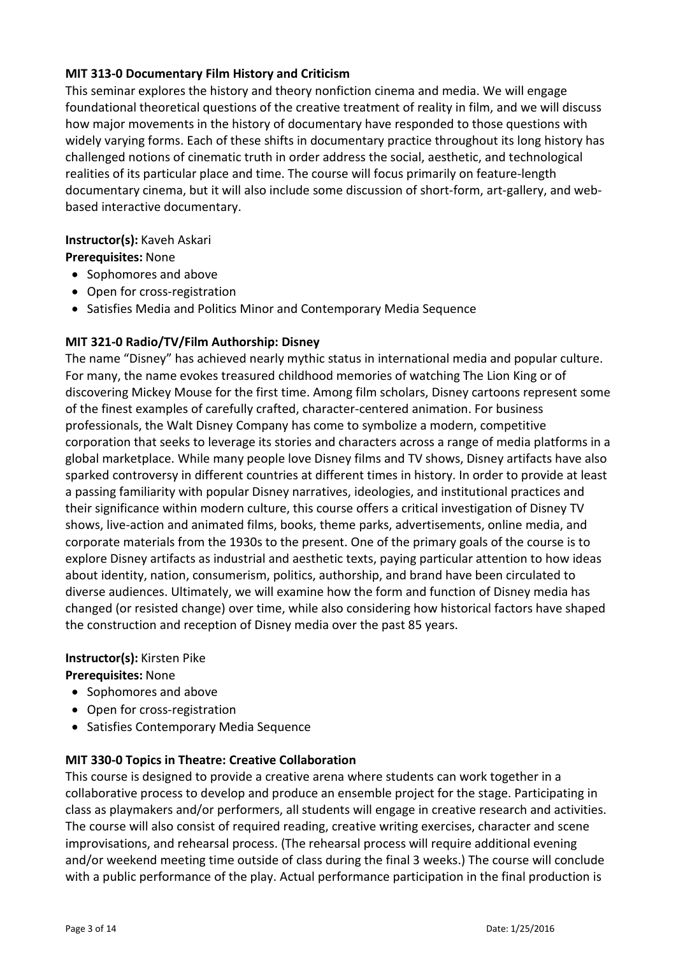## **MIT 313-0 Documentary Film History and Criticism**

This seminar explores the history and theory nonfiction cinema and media. We will engage foundational theoretical questions of the creative treatment of reality in film, and we will discuss how major movements in the history of documentary have responded to those questions with widely varying forms. Each of these shifts in documentary practice throughout its long history has challenged notions of cinematic truth in order address the social, aesthetic, and technological realities of its particular place and time. The course will focus primarily on feature-length documentary cinema, but it will also include some discussion of short-form, art-gallery, and webbased interactive documentary.

# **Instructor(s):** Kaveh Askari

**Prerequisites:** None

- Sophomores and above
- Open for cross-registration
- Satisfies Media and Politics Minor and Contemporary Media Sequence

# **MIT 321-0 Radio/TV/Film Authorship: Disney**

The name "Disney" has achieved nearly mythic status in international media and popular culture. For many, the name evokes treasured childhood memories of watching The Lion King or of discovering Mickey Mouse for the first time. Among film scholars, Disney cartoons represent some of the finest examples of carefully crafted, character-centered animation. For business professionals, the Walt Disney Company has come to symbolize a modern, competitive corporation that seeks to leverage its stories and characters across a range of media platforms in a global marketplace. While many people love Disney films and TV shows, Disney artifacts have also sparked controversy in different countries at different times in history. In order to provide at least a passing familiarity with popular Disney narratives, ideologies, and institutional practices and their significance within modern culture, this course offers a critical investigation of Disney TV shows, live-action and animated films, books, theme parks, advertisements, online media, and corporate materials from the 1930s to the present. One of the primary goals of the course is to explore Disney artifacts as industrial and aesthetic texts, paying particular attention to how ideas about identity, nation, consumerism, politics, authorship, and brand have been circulated to diverse audiences. Ultimately, we will examine how the form and function of Disney media has changed (or resisted change) over time, while also considering how historical factors have shaped the construction and reception of Disney media over the past 85 years.

## **Instructor(s):** Kirsten Pike

# **Prerequisites:** None

- Sophomores and above
- Open for cross-registration
- Satisfies Contemporary Media Sequence

## **MIT 330-0 Topics in Theatre: Creative Collaboration**

This course is designed to provide a creative arena where students can work together in a collaborative process to develop and produce an ensemble project for the stage. Participating in class as playmakers and/or performers, all students will engage in creative research and activities. The course will also consist of required reading, creative writing exercises, character and scene improvisations, and rehearsal process. (The rehearsal process will require additional evening and/or weekend meeting time outside of class during the final 3 weeks.) The course will conclude with a public performance of the play. Actual performance participation in the final production is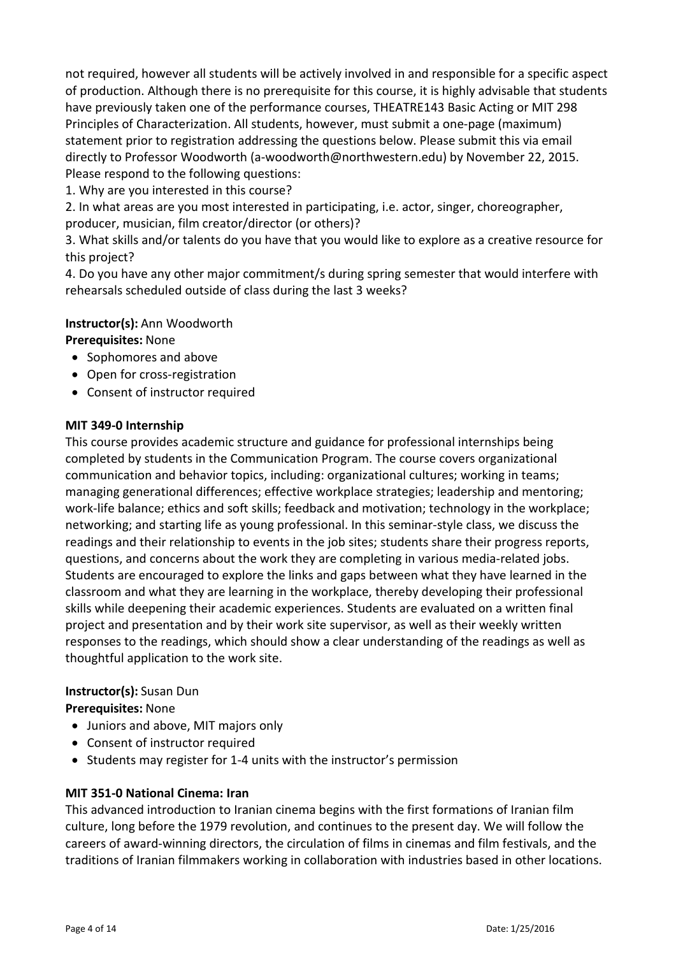not required, however all students will be actively involved in and responsible for a specific aspect of production. Although there is no prerequisite for this course, it is highly advisable that students have previously taken one of the performance courses, THEATRE143 Basic Acting or MIT 298 Principles of Characterization. All students, however, must submit a one-page (maximum) statement prior to registration addressing the questions below. Please submit this via email directly to Professor Woodworth (a-woodworth@northwestern.edu) by November 22, 2015. Please respond to the following questions:

1. Why are you interested in this course?

2. In what areas are you most interested in participating, i.e. actor, singer, choreographer, producer, musician, film creator/director (or others)?

3. What skills and/or talents do you have that you would like to explore as a creative resource for this project?

4. Do you have any other major commitment/s during spring semester that would interfere with rehearsals scheduled outside of class during the last 3 weeks?

#### **Instructor(s):** Ann Woodworth

#### **Prerequisites:** None

- Sophomores and above
- Open for cross-registration
- Consent of instructor required

#### **MIT 349-0 Internship**

This course provides academic structure and guidance for professional internships being completed by students in the Communication Program. The course covers organizational communication and behavior topics, including: organizational cultures; working in teams; managing generational differences; effective workplace strategies; leadership and mentoring; work-life balance; ethics and soft skills; feedback and motivation; technology in the workplace; networking; and starting life as young professional. In this seminar-style class, we discuss the readings and their relationship to events in the job sites; students share their progress reports, questions, and concerns about the work they are completing in various media-related jobs. Students are encouraged to explore the links and gaps between what they have learned in the classroom and what they are learning in the workplace, thereby developing their professional skills while deepening their academic experiences. Students are evaluated on a written final project and presentation and by their work site supervisor, as well as their weekly written responses to the readings, which should show a clear understanding of the readings as well as thoughtful application to the work site.

#### **Instructor(s):** Susan Dun

#### **Prerequisites:** None

- Juniors and above, MIT majors only
- Consent of instructor required
- Students may register for 1-4 units with the instructor's permission

#### **MIT 351-0 National Cinema: Iran**

This advanced introduction to Iranian cinema begins with the first formations of Iranian film culture, long before the 1979 revolution, and continues to the present day. We will follow the careers of award-winning directors, the circulation of films in cinemas and film festivals, and the traditions of Iranian filmmakers working in collaboration with industries based in other locations.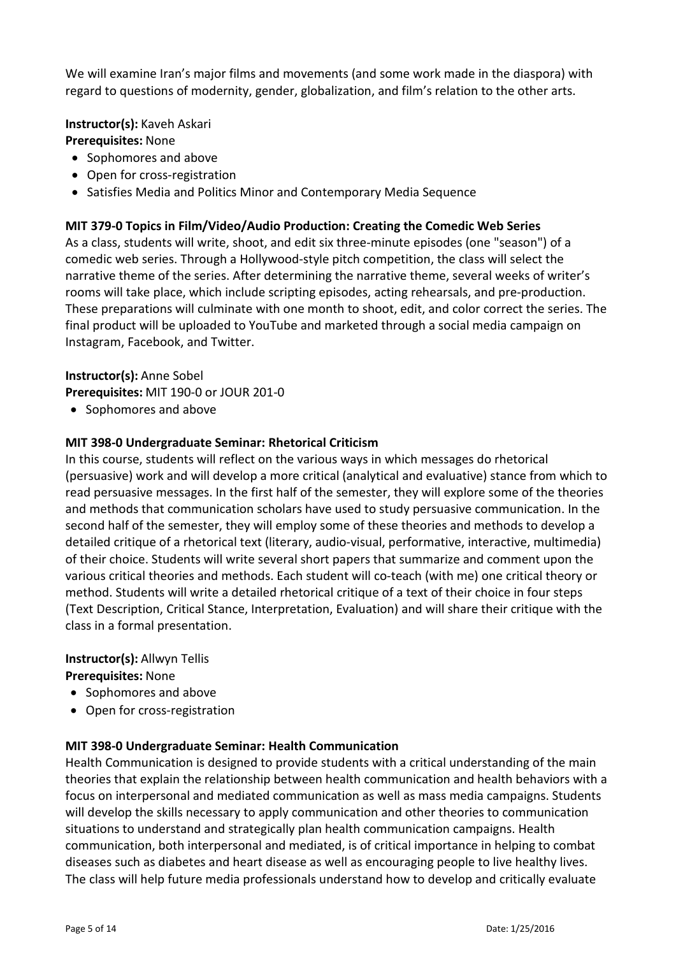We will examine Iran's major films and movements (and some work made in the diaspora) with regard to questions of modernity, gender, globalization, and film's relation to the other arts.

**Instructor(s):** Kaveh Askari **Prerequisites:** None

- Sophomores and above
- Open for cross-registration
- Satisfies Media and Politics Minor and Contemporary Media Sequence

#### **MIT 379-0 Topics in Film/Video/Audio Production: Creating the Comedic Web Series**

As a class, students will write, shoot, and edit six three-minute episodes (one "season") of a comedic web series. Through a Hollywood-style pitch competition, the class will select the narrative theme of the series. After determining the narrative theme, several weeks of writer's rooms will take place, which include scripting episodes, acting rehearsals, and pre-production. These preparations will culminate with one month to shoot, edit, and color correct the series. The final product will be uploaded to YouTube and marketed through a social media campaign on Instagram, Facebook, and Twitter.

# **Instructor(s):** Anne Sobel

**Prerequisites:** MIT 190-0 or JOUR 201-0

• Sophomores and above

#### **MIT 398-0 Undergraduate Seminar: Rhetorical Criticism**

In this course, students will reflect on the various ways in which messages do rhetorical (persuasive) work and will develop a more critical (analytical and evaluative) stance from which to read persuasive messages. In the first half of the semester, they will explore some of the theories and methods that communication scholars have used to study persuasive communication. In the second half of the semester, they will employ some of these theories and methods to develop a detailed critique of a rhetorical text (literary, audio-visual, performative, interactive, multimedia) of their choice. Students will write several short papers that summarize and comment upon the various critical theories and methods. Each student will co-teach (with me) one critical theory or method. Students will write a detailed rhetorical critique of a text of their choice in four steps (Text Description, Critical Stance, Interpretation, Evaluation) and will share their critique with the class in a formal presentation.

## **Instructor(s):** Allwyn Tellis

**Prerequisites:** None

- Sophomores and above
- Open for cross-registration

## **MIT 398-0 Undergraduate Seminar: Health Communication**

Health Communication is designed to provide students with a critical understanding of the main theories that explain the relationship between health communication and health behaviors with a focus on interpersonal and mediated communication as well as mass media campaigns. Students will develop the skills necessary to apply communication and other theories to communication situations to understand and strategically plan health communication campaigns. Health communication, both interpersonal and mediated, is of critical importance in helping to combat diseases such as diabetes and heart disease as well as encouraging people to live healthy lives. The class will help future media professionals understand how to develop and critically evaluate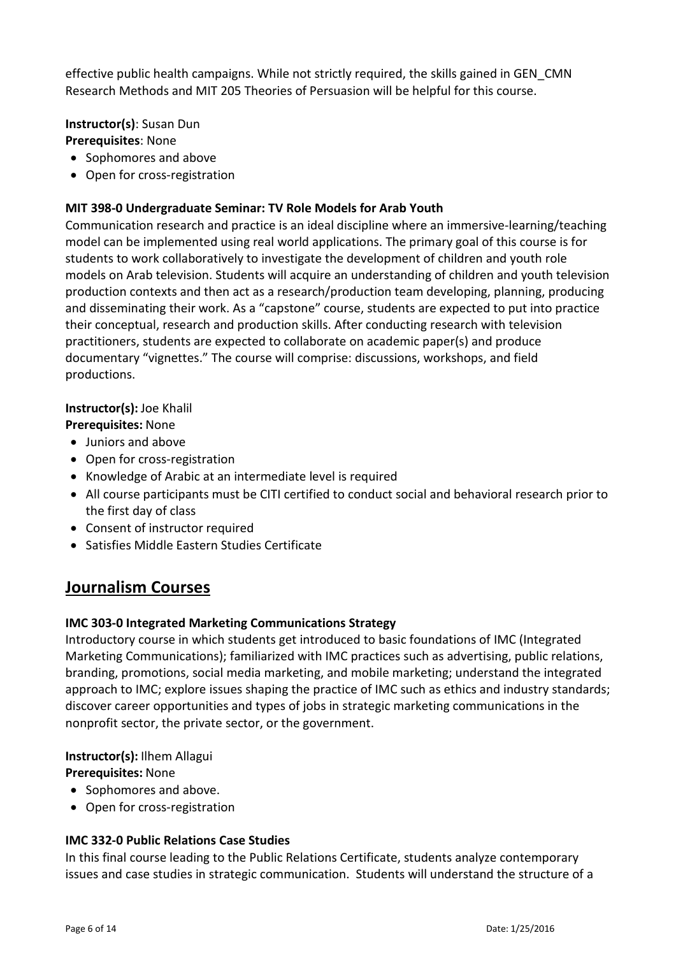effective public health campaigns. While not strictly required, the skills gained in GEN\_CMN Research Methods and MIT 205 Theories of Persuasion will be helpful for this course.

**Instructor(s)**: Susan Dun **Prerequisites**: None

- Sophomores and above
- Open for cross-registration

## **MIT 398-0 Undergraduate Seminar: TV Role Models for Arab Youth**

Communication research and practice is an ideal discipline where an immersive-learning/teaching model can be implemented using real world applications. The primary goal of this course is for students to work collaboratively to investigate the development of children and youth role models on Arab television. Students will acquire an understanding of children and youth television production contexts and then act as a research/production team developing, planning, producing and disseminating their work. As a "capstone" course, students are expected to put into practice their conceptual, research and production skills. After conducting research with television practitioners, students are expected to collaborate on academic paper(s) and produce documentary "vignettes." The course will comprise: discussions, workshops, and field productions.

#### **Instructor(s):** Joe Khalil

## **Prerequisites:** None

- Juniors and above
- Open for cross-registration
- Knowledge of Arabic at an intermediate level is required
- All course participants must be CITI certified to conduct social and behavioral research prior to the first day of class
- Consent of instructor required
- Satisfies Middle Eastern Studies Certificate

# **Journalism Courses**

## **IMC 303-0 Integrated Marketing Communications Strategy**

Introductory course in which students get introduced to basic foundations of IMC (Integrated Marketing Communications); familiarized with IMC practices such as advertising, public relations, branding, promotions, social media marketing, and mobile marketing; understand the integrated approach to IMC; explore issues shaping the practice of IMC such as ethics and industry standards; discover career opportunities and types of jobs in strategic marketing communications in the nonprofit sector, the private sector, or the government.

**Instructor(s):** Ilhem Allagui

**Prerequisites:** None

- Sophomores and above.
- Open for cross-registration

## **IMC 332-0 Public Relations Case Studies**

In this final course leading to the Public Relations Certificate, students analyze contemporary issues and case studies in strategic communication. Students will understand the structure of a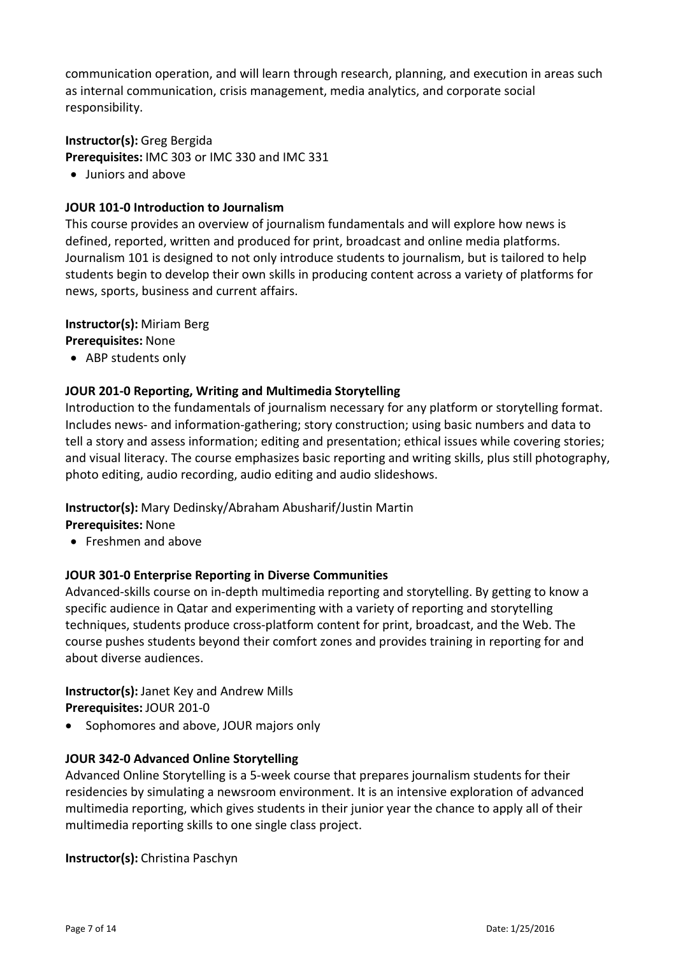communication operation, and will learn through research, planning, and execution in areas such as internal communication, crisis management, media analytics, and corporate social responsibility.

## **Instructor(s):** Greg Bergida

**Prerequisites:** IMC 303 or IMC 330 and IMC 331

• Juniors and above

#### **JOUR 101-0 Introduction to Journalism**

This course provides an overview of journalism fundamentals and will explore how news is defined, reported, written and produced for print, broadcast and online media platforms. Journalism 101 is designed to not only introduce students to journalism, but is tailored to help students begin to develop their own skills in producing content across a variety of platforms for news, sports, business and current affairs.

#### **Instructor(s):** Miriam Berg

**Prerequisites:** None

• ABP students only

## **JOUR 201-0 Reporting, Writing and Multimedia Storytelling**

Introduction to the fundamentals of journalism necessary for any platform or storytelling format. Includes news- and information-gathering; story construction; using basic numbers and data to tell a story and assess information; editing and presentation; ethical issues while covering stories; and visual literacy. The course emphasizes basic reporting and writing skills, plus still photography, photo editing, audio recording, audio editing and audio slideshows.

#### **Instructor(s):** Mary Dedinsky/Abraham Abusharif/Justin Martin

**Prerequisites:** None

• Freshmen and above

#### **JOUR 301-0 Enterprise Reporting in Diverse Communities**

Advanced-skills course on in-depth multimedia reporting and storytelling. By getting to know a specific audience in Qatar and experimenting with a variety of reporting and storytelling techniques, students produce cross-platform content for print, broadcast, and the Web. The course pushes students beyond their comfort zones and provides training in reporting for and about diverse audiences.

# **Instructor(s):** Janet Key and Andrew Mills

**Prerequisites:** JOUR 201-0

• Sophomores and above, JOUR majors only

## **JOUR 342-0 Advanced Online Storytelling**

Advanced Online Storytelling is a 5-week course that prepares journalism students for their residencies by simulating a newsroom environment. It is an intensive exploration of advanced multimedia reporting, which gives students in their junior year the chance to apply all of their multimedia reporting skills to one single class project.

**Instructor(s):** Christina Paschyn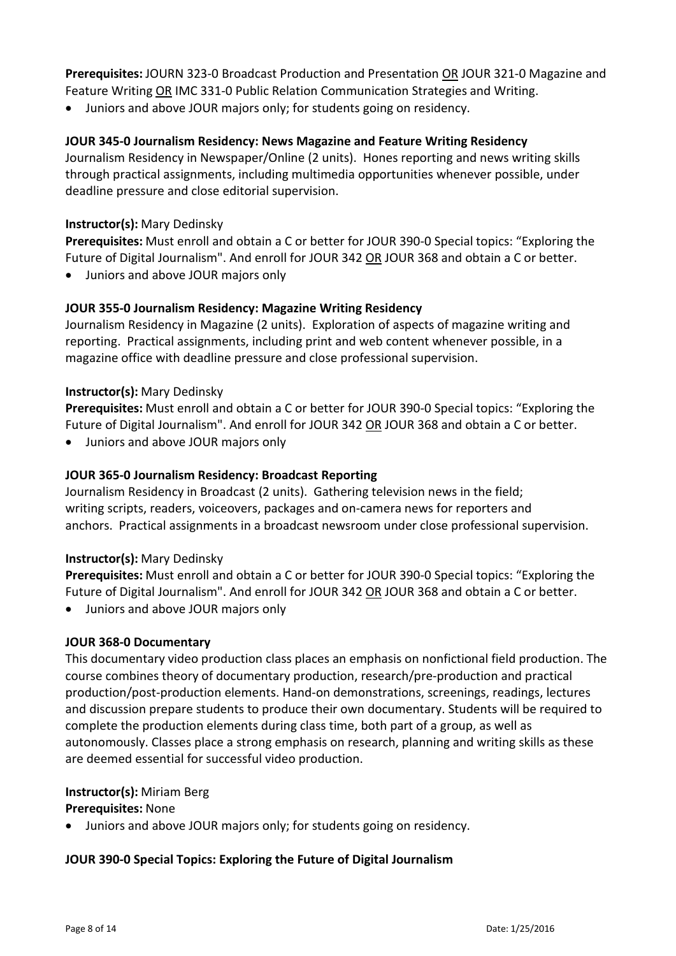**Prerequisites:** JOURN 323-0 Broadcast Production and Presentation OR JOUR 321-0 Magazine and Feature Writing OR IMC 331-0 Public Relation Communication Strategies and Writing.

• Juniors and above JOUR majors only; for students going on residency.

## **JOUR 345-0 Journalism Residency: News Magazine and Feature Writing Residency**

Journalism Residency in Newspaper/Online (2 units). Hones reporting and news writing skills through practical assignments, including multimedia opportunities whenever possible, under deadline pressure and close editorial supervision.

#### **Instructor(s):** Mary Dedinsky

**Prerequisites:** Must enroll and obtain a C or better for JOUR 390-0 Special topics: "Exploring the Future of Digital Journalism". And enroll for JOUR 342 OR JOUR 368 and obtain a C or better.

• Juniors and above JOUR majors only

## **JOUR 355-0 Journalism Residency: Magazine Writing Residency**

Journalism Residency in Magazine (2 units). Exploration of aspects of magazine writing and reporting. Practical assignments, including print and web content whenever possible, in a magazine office with deadline pressure and close professional supervision.

#### **Instructor(s):** Mary Dedinsky

**Prerequisites:** Must enroll and obtain a C or better for JOUR 390-0 Special topics: "Exploring the Future of Digital Journalism". And enroll for JOUR 342 OR JOUR 368 and obtain a C or better.

• Juniors and above JOUR majors only

## **JOUR 365-0 Journalism Residency: Broadcast Reporting**

Journalism Residency in Broadcast (2 units). Gathering television news in the field; writing scripts, readers, voiceovers, packages and on-camera news for reporters and anchors. Practical assignments in a broadcast newsroom under close professional supervision.

#### **Instructor(s):** Mary Dedinsky

**Prerequisites:** Must enroll and obtain a C or better for JOUR 390-0 Special topics: "Exploring the Future of Digital Journalism". And enroll for JOUR 342 OR JOUR 368 and obtain a C or better.

• Juniors and above JOUR majors only

## **JOUR 368-0 Documentary**

This documentary video production class places an emphasis on nonfictional field production. The course combines theory of documentary production, research/pre-production and practical production/post-production elements. Hand-on demonstrations, screenings, readings, lectures and discussion prepare students to produce their own documentary. Students will be required to complete the production elements during class time, both part of a group, as well as autonomously. Classes place a strong emphasis on research, planning and writing skills as these are deemed essential for successful video production.

#### **Instructor(s):** Miriam Berg

#### **Prerequisites:** None

• Juniors and above JOUR majors only; for students going on residency.

## **JOUR 390-0 Special Topics: Exploring the Future of Digital Journalism**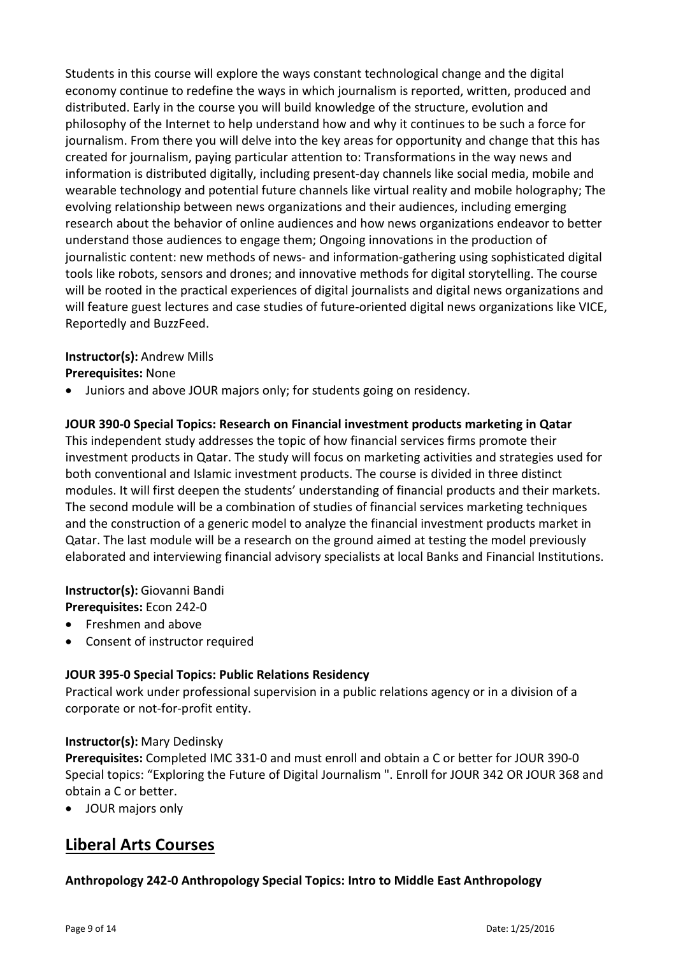Students in this course will explore the ways constant technological change and the digital economy continue to redefine the ways in which journalism is reported, written, produced and distributed. Early in the course you will build knowledge of the structure, evolution and philosophy of the Internet to help understand how and why it continues to be such a force for journalism. From there you will delve into the key areas for opportunity and change that this has created for journalism, paying particular attention to: Transformations in the way news and information is distributed digitally, including present-day channels like social media, mobile and wearable technology and potential future channels like virtual reality and mobile holography; The evolving relationship between news organizations and their audiences, including emerging research about the behavior of online audiences and how news organizations endeavor to better understand those audiences to engage them; Ongoing innovations in the production of journalistic content: new methods of news- and information-gathering using sophisticated digital tools like robots, sensors and drones; and innovative methods for digital storytelling. The course will be rooted in the practical experiences of digital journalists and digital news organizations and will feature guest lectures and case studies of future-oriented digital news organizations like VICE, Reportedly and BuzzFeed.

# **Instructor(s):** Andrew Mills

## **Prerequisites:** None

• Juniors and above JOUR majors only; for students going on residency.

## **JOUR 390-0 Special Topics: Research on Financial investment products marketing in Qatar**

This independent study addresses the topic of how financial services firms promote their investment products in Qatar. The study will focus on marketing activities and strategies used for both conventional and Islamic investment products. The course is divided in three distinct modules. It will first deepen the students' understanding of financial products and their markets. The second module will be a combination of studies of financial services marketing techniques and the construction of a generic model to analyze the financial investment products market in Qatar. The last module will be a research on the ground aimed at testing the model previously elaborated and interviewing financial advisory specialists at local Banks and Financial Institutions.

**Instructor(s):** Giovanni Bandi **Prerequisites:** Econ 242-0

- Freshmen and above
- Consent of instructor required

## **JOUR 395-0 Special Topics: Public Relations Residency**

Practical work under professional supervision in a public relations agency or in a division of a corporate or not-for-profit entity.

## **Instructor(s):** Mary Dedinsky

**Prerequisites:** Completed IMC 331-0 and must enroll and obtain a C or better for JOUR 390-0 Special topics: "Exploring the Future of Digital Journalism ". Enroll for JOUR 342 OR JOUR 368 and obtain a C or better.

• JOUR majors only

# **Liberal Arts Courses**

## **Anthropology 242-0 Anthropology Special Topics: Intro to Middle East Anthropology**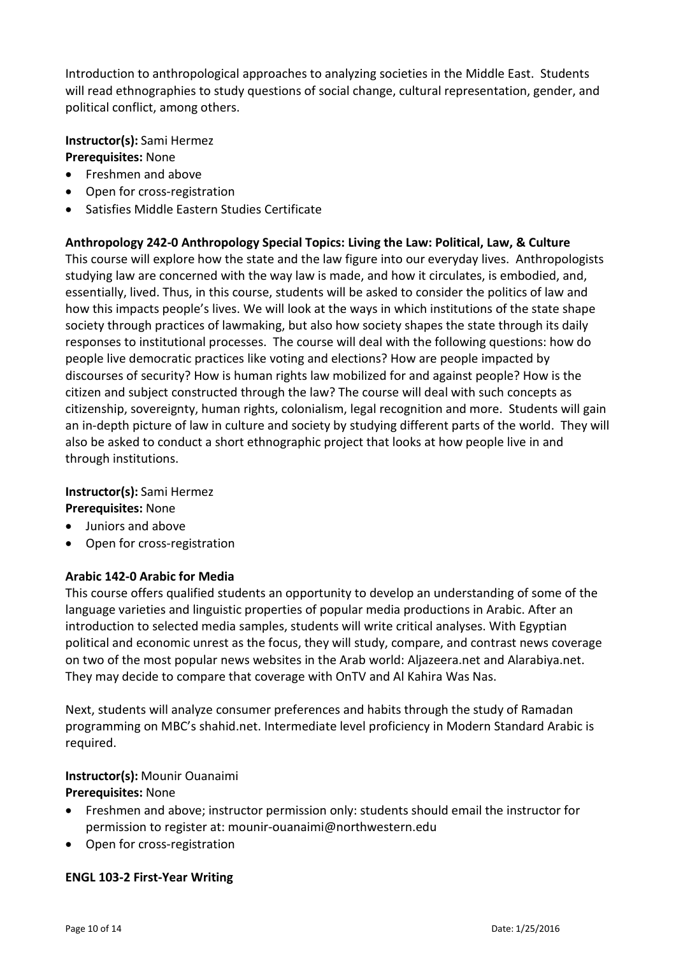Introduction to anthropological approaches to analyzing societies in the Middle East. Students will read ethnographies to study questions of social change, cultural representation, gender, and political conflict, among others.

**Instructor(s):** Sami Hermez

# **Prerequisites:** None

- Freshmen and above
- Open for cross-registration
- Satisfies Middle Eastern Studies Certificate

#### **Anthropology 242-0 Anthropology Special Topics: Living the Law: Political, Law, & Culture**

This course will explore how the state and the law figure into our everyday lives. Anthropologists studying law are concerned with the way law is made, and how it circulates, is embodied, and, essentially, lived. Thus, in this course, students will be asked to consider the politics of law and how this impacts people's lives. We will look at the ways in which institutions of the state shape society through practices of lawmaking, but also how society shapes the state through its daily responses to institutional processes. The course will deal with the following questions: how do people live democratic practices like voting and elections? How are people impacted by discourses of security? How is human rights law mobilized for and against people? How is the citizen and subject constructed through the law? The course will deal with such concepts as citizenship, sovereignty, human rights, colonialism, legal recognition and more. Students will gain an in-depth picture of law in culture and society by studying different parts of the world. They will also be asked to conduct a short ethnographic project that looks at how people live in and through institutions.

## **Instructor(s):** Sami Hermez

**Prerequisites:** None

- Juniors and above
- Open for cross-registration

## **Arabic 142-0 Arabic for Media**

This course offers qualified students an opportunity to develop an understanding of some of the language varieties and linguistic properties of popular media productions in Arabic. After an introduction to selected media samples, students will write critical analyses. With Egyptian political and economic unrest as the focus, they will study, compare, and contrast news coverage on two of the most popular news websites in the Arab world: Aljazeera.net and Alarabiya.net. They may decide to compare that coverage with OnTV and Al Kahira Was Nas.

Next, students will analyze consumer preferences and habits through the study of Ramadan programming on MBC's shahid.net. Intermediate level proficiency in Modern Standard Arabic is required.

# **Instructor(s):** Mounir Ouanaimi

## **Prerequisites:** None

- Freshmen and above; instructor permission only: students should email the instructor for permission to register at: [mounir-ouanaimi@northwestern.edu](mailto:mounir-ouanaimi@northwestern.edu)
- Open for cross-registration

#### **ENGL 103-2 First-Year Writing**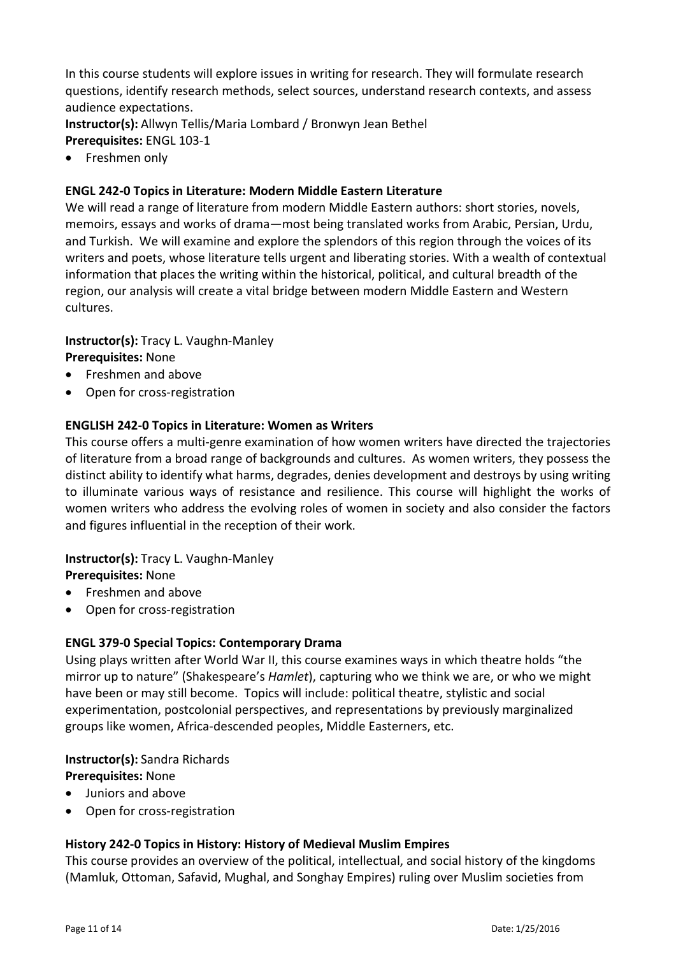In this course students will explore issues in writing for research. They will formulate research questions, identify research methods, select sources, understand research contexts, and assess audience expectations.

**Instructor(s):** Allwyn Tellis/Maria Lombard / Bronwyn Jean Bethel **Prerequisites:** ENGL 103-1

• Freshmen only

## **ENGL 242-0 Topics in Literature: Modern Middle Eastern Literature**

We will read a range of literature from modern Middle Eastern authors: short stories, novels, memoirs, essays and works of drama—most being translated works from Arabic, Persian, Urdu, and Turkish. We will examine and explore the splendors of this region through the voices of its writers and poets, whose literature tells urgent and liberating stories. With a wealth of contextual information that places the writing within the historical, political, and cultural breadth of the region, our analysis will create a vital bridge between modern Middle Eastern and Western cultures.

# **Instructor(s):** Tracy L. Vaughn-Manley

**Prerequisites:** None

- Freshmen and above
- Open for cross-registration

## **ENGLISH 242-0 Topics in Literature: Women as Writers**

This course offers a multi-genre examination of how women writers have directed the trajectories of literature from a broad range of backgrounds and cultures. As women writers, they possess the distinct ability to identify what harms, degrades, denies development and destroys by using writing to illuminate various ways of resistance and resilience. This course will highlight the works of women writers who address the evolving roles of women in society and also consider the factors and figures influential in the reception of their work.

# **Instructor(s):** Tracy L. Vaughn-Manley

**Prerequisites:** None

- Freshmen and above
- Open for cross-registration

## **ENGL 379-0 Special Topics: Contemporary Drama**

Using plays written after World War II, this course examines ways in which theatre holds "the mirror up to nature" (Shakespeare's *Hamlet*), capturing who we think we are, or who we might have been or may still become. Topics will include: political theatre, stylistic and social experimentation, postcolonial perspectives, and representations by previously marginalized groups like women, Africa-descended peoples, Middle Easterners, etc.

# **Instructor(s):** Sandra Richards

**Prerequisites:** None

- Juniors and above
- Open for cross-registration

## **History 242-0 Topics in History: History of Medieval Muslim Empires**

This course provides an overview of the political, intellectual, and social history of the kingdoms (Mamluk, Ottoman, Safavid, Mughal, and Songhay Empires) ruling over Muslim societies from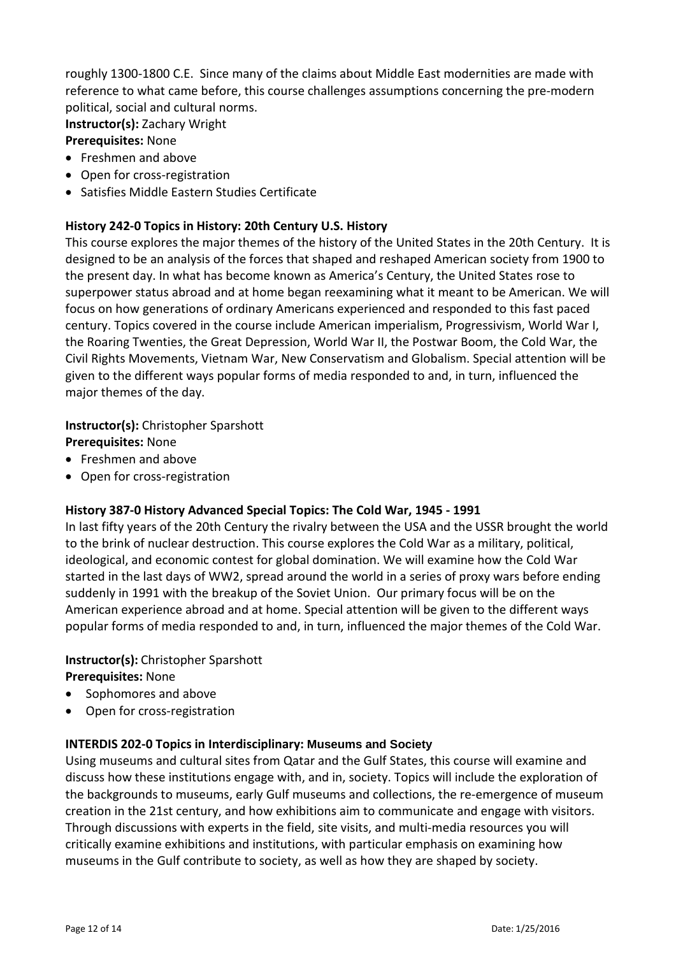roughly 1300-1800 C.E. Since many of the claims about Middle East modernities are made with reference to what came before, this course challenges assumptions concerning the pre-modern political, social and cultural norms.

**Instructor(s):** Zachary Wright

#### **Prerequisites:** None

- Freshmen and above
- Open for cross-registration
- Satisfies Middle Eastern Studies Certificate

# **History 242-0 Topics in History: 20th Century U.S. History**

This course explores the major themes of the history of the United States in the 20th Century. It is designed to be an analysis of the forces that shaped and reshaped American society from 1900 to the present day. In what has become known as America's Century, the United States rose to superpower status abroad and at home began reexamining what it meant to be American. We will focus on how generations of ordinary Americans experienced and responded to this fast paced century. Topics covered in the course include American imperialism, Progressivism, World War I, the Roaring Twenties, the Great Depression, World War II, the Postwar Boom, the Cold War, the Civil Rights Movements, Vietnam War, New Conservatism and Globalism. Special attention will be given to the different ways popular forms of media responded to and, in turn, influenced the major themes of the day.

## **Instructor(s):** Christopher Sparshott

**Prerequisites:** None

- Freshmen and above
- Open for cross-registration

# **History 387-0 History Advanced Special Topics: The Cold War, 1945 - 1991**

In last fifty years of the 20th Century the rivalry between the USA and the USSR brought the world to the brink of nuclear destruction. This course explores the Cold War as a military, political, ideological, and economic contest for global domination. We will examine how the Cold War started in the last days of WW2, spread around the world in a series of proxy wars before ending suddenly in 1991 with the breakup of the Soviet Union. Our primary focus will be on the American experience abroad and at home. Special attention will be given to the different ways popular forms of media responded to and, in turn, influenced the major themes of the Cold War.

# **Instructor(s):** Christopher Sparshott

**Prerequisites:** None

- Sophomores and above
- Open for cross-registration

## **INTERDIS 202-0 Topics in Interdisciplinary: Museums and Society**

Using museums and cultural sites from Qatar and the Gulf States, this course will examine and discuss how these institutions engage with, and in, society. Topics will include the exploration of the backgrounds to museums, early Gulf museums and collections, the re-emergence of museum creation in the 21st century, and how exhibitions aim to communicate and engage with visitors. Through discussions with experts in the field, site visits, and multi-media resources you will critically examine exhibitions and institutions, with particular emphasis on examining how museums in the Gulf contribute to society, as well as how they are shaped by society.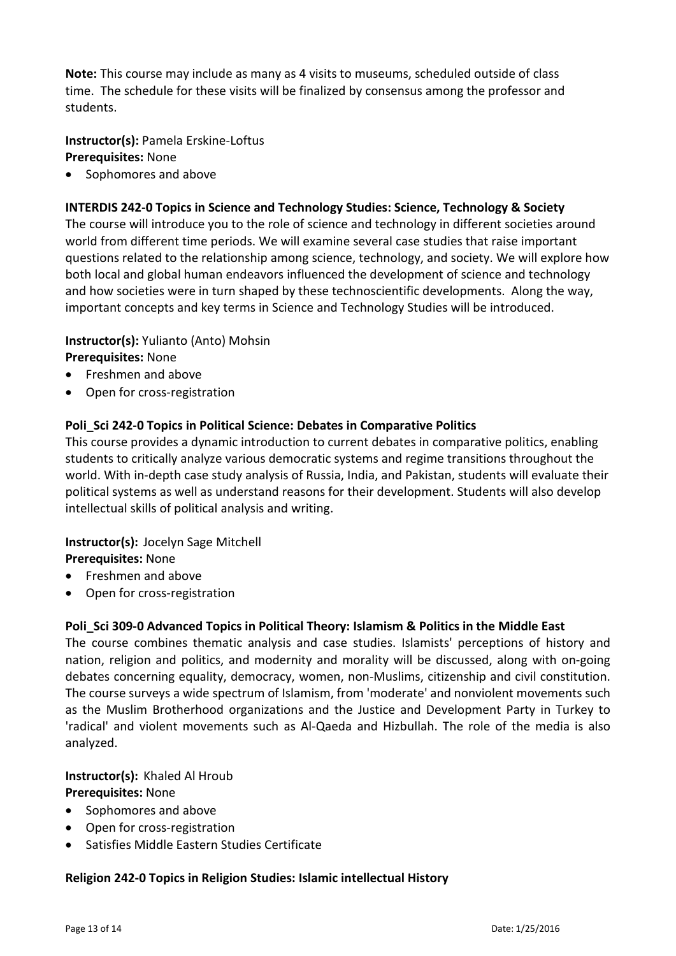**Note:** This course may include as many as 4 visits to museums, scheduled outside of class time. The schedule for these visits will be finalized by consensus among the professor and students.

**Instructor(s):** Pamela Erskine-Loftus

**Prerequisites:** None

• Sophomores and above

# **INTERDIS 242-0 Topics in Science and Technology Studies: Science, Technology & Society**

The course will introduce you to the role of science and technology in different societies around world from different time periods. We will examine several case studies that raise important questions related to the relationship among science, technology, and society. We will explore how both local and global human endeavors influenced the development of science and technology and how societies were in turn shaped by these technoscientific developments. Along the way, important concepts and key terms in Science and Technology Studies will be introduced.

**Instructor(s):** Yulianto (Anto) Mohsin

# **Prerequisites:** None

- Freshmen and above
- Open for cross-registration

# **Poli\_Sci 242-0 Topics in Political Science: Debates in Comparative Politics**

This course provides a dynamic introduction to current debates in comparative politics, enabling students to critically analyze various democratic systems and regime transitions throughout the world. With in-depth case study analysis of Russia, India, and Pakistan, students will evaluate their political systems as well as understand reasons for their development. Students will also develop intellectual skills of political analysis and writing.

#### **Instructor(s):** Jocelyn Sage Mitchell **Prerequisites:** None

- Freshmen and above
- Open for cross-registration

# **Poli\_Sci 309-0 Advanced Topics in Political Theory: Islamism & Politics in the Middle East**

The course combines thematic analysis and case studies. Islamists' perceptions of history and nation, religion and politics, and modernity and morality will be discussed, along with on-going debates concerning equality, democracy, women, non-Muslims, citizenship and civil constitution. The course surveys a wide spectrum of Islamism, from 'moderate' and nonviolent movements such as the Muslim Brotherhood organizations and the Justice and Development Party in Turkey to 'radical' and violent movements such as Al-Qaeda and Hizbullah. The role of the media is also analyzed.

**Instructor(s):** Khaled Al Hroub **Prerequisites:** None

- Sophomores and above
- Open for cross-registration
- Satisfies Middle Eastern Studies Certificate

## **Religion 242-0 Topics in Religion Studies: Islamic intellectual History**